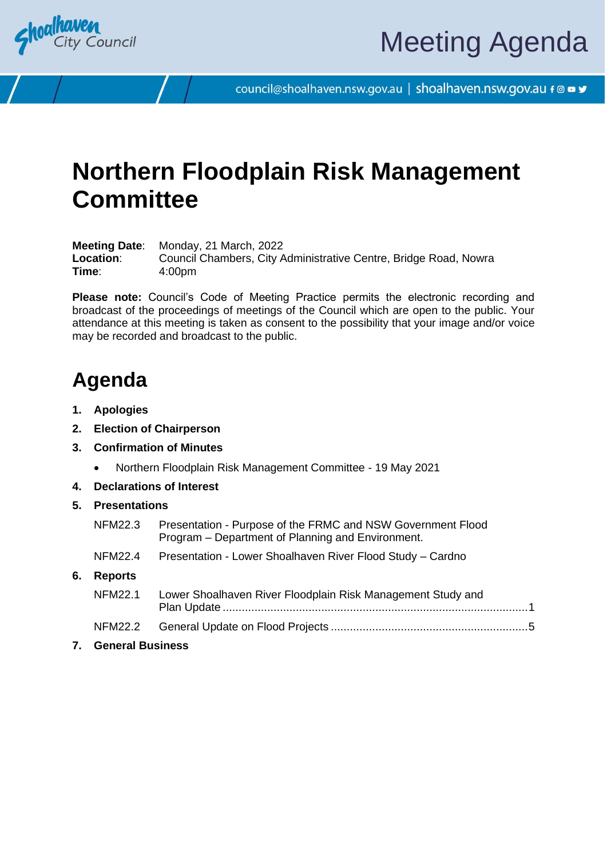

council@shoalhaven.nsw.gov.au | shoalhaven.nsw.gov.au f @ ■ y

# **Northern Floodplain Risk Management Committee**

**Meeting Date**: Monday, 21 March, 2022 Location: Council Chambers, City Administrative Centre, Bridge Road, Nowra **Time**: 4:00pm

**Please note:** Council's Code of Meeting Practice permits the electronic recording and broadcast of the proceedings of meetings of the Council which are open to the public. Your attendance at this meeting is taken as consent to the possibility that your image and/or voice may be recorded and broadcast to the public.

## **Agenda**

- **1. Apologies**
- **2. Election of Chairperson**
- **3. Confirmation of Minutes**
	- Northern Floodplain Risk Management Committee 19 May 2021
- **4. Declarations of Interest**
- **5. Presentations**

|    | <b>General Business</b> |                                                                                                                  |  |
|----|-------------------------|------------------------------------------------------------------------------------------------------------------|--|
|    | <b>NFM22.2</b>          |                                                                                                                  |  |
|    | <b>NFM22.1</b>          | Lower Shoalhaven River Floodplain Risk Management Study and                                                      |  |
| 6. | <b>Reports</b>          |                                                                                                                  |  |
|    | NFM22.4                 | Presentation - Lower Shoalhaven River Flood Study - Cardno                                                       |  |
|    | NFM22.3                 | Presentation - Purpose of the FRMC and NSW Government Flood<br>Program – Department of Planning and Environment. |  |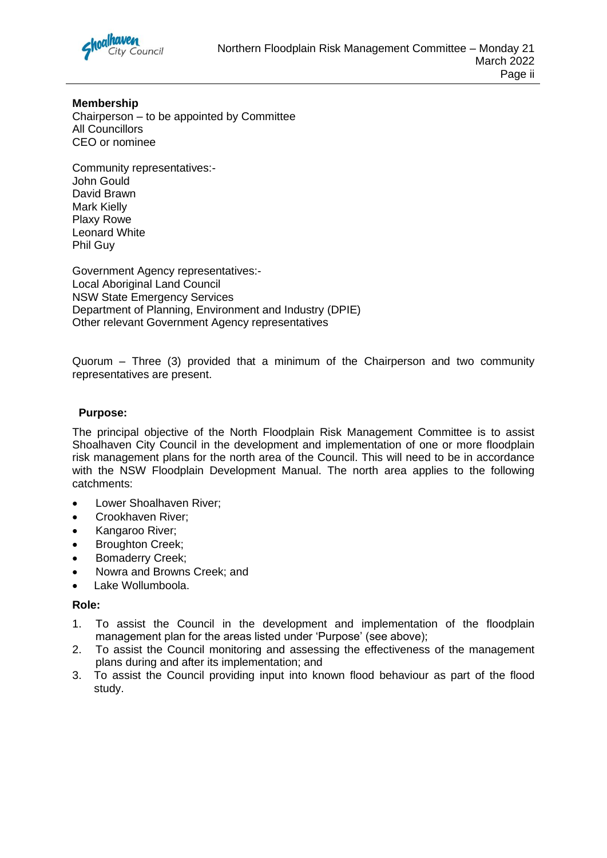

#### **Membership**

Chairperson – to be appointed by Committee All Councillors CEO or nominee

Community representatives:- John Gould David Brawn Mark Kielly Plaxy Rowe Leonard White Phil Guy

Government Agency representatives:- Local Aboriginal Land Council NSW State Emergency Services Department of Planning, Environment and Industry (DPIE) Other relevant Government Agency representatives

Quorum – Three (3) provided that a minimum of the Chairperson and two community representatives are present.

#### **Purpose:**

The principal objective of the North Floodplain Risk Management Committee is to assist Shoalhaven City Council in the development and implementation of one or more floodplain risk management plans for the north area of the Council. This will need to be in accordance with the NSW Floodplain Development Manual. The north area applies to the following catchments:

- Lower Shoalhaven River:
- Crookhaven River;
- Kangaroo River;
- Broughton Creek;
- Bomaderry Creek;
- Nowra and Browns Creek; and
- Lake Wollumboola.

#### **Role:**

- 1. To assist the Council in the development and implementation of the floodplain management plan for the areas listed under 'Purpose' (see above);
- 2. To assist the Council monitoring and assessing the effectiveness of the management plans during and after its implementation; and
- 3. To assist the Council providing input into known flood behaviour as part of the flood study.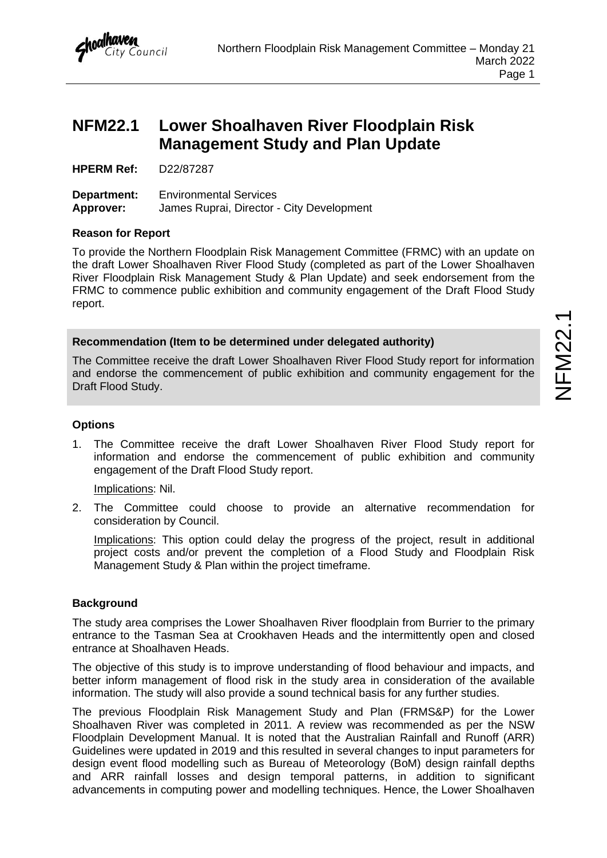

### <span id="page-2-0"></span>**NFM22.1 Lower Shoalhaven River Floodplain Risk Management Study and Plan Update**

**HPERM Ref:** D22/87287

**Department:** Environmental Services **Approver:** James Ruprai, Director - City Development

#### **Reason for Report**

To provide the Northern Floodplain Risk Management Committee (FRMC) with an update on the draft Lower Shoalhaven River Flood Study (completed as part of the Lower Shoalhaven River Floodplain Risk Management Study & Plan Update) and seek endorsement from the FRMC to commence public exhibition and community engagement of the Draft Flood Study report.

#### **Recommendation (Item to be determined under delegated authority)**

The Committee receive the draft Lower Shoalhaven River Flood Study report for information and endorse the commencement of public exhibition and community engagement for the Draft Flood Study.

#### **Options**

1. The Committee receive the draft Lower Shoalhaven River Flood Study report for information and endorse the commencement of public exhibition and community engagement of the Draft Flood Study report.

Implications: Nil.

2. The Committee could choose to provide an alternative recommendation for consideration by Council.

Implications: This option could delay the progress of the project, result in additional project costs and/or prevent the completion of a Flood Study and Floodplain Risk Management Study & Plan within the project timeframe.

#### **Background**

The study area comprises the Lower Shoalhaven River floodplain from Burrier to the primary entrance to the Tasman Sea at Crookhaven Heads and the intermittently open and closed entrance at Shoalhaven Heads.

The objective of this study is to improve understanding of flood behaviour and impacts, and better inform management of flood risk in the study area in consideration of the available information. The study will also provide a sound technical basis for any further studies.

The previous Floodplain Risk Management Study and Plan (FRMS&P) for the Lower Shoalhaven River was completed in 2011. A review was recommended as per the NSW Floodplain Development Manual. It is noted that the Australian Rainfall and Runoff (ARR) Guidelines were updated in 2019 and this resulted in several changes to input parameters for design event flood modelling such as Bureau of Meteorology (BoM) design rainfall depths and ARR rainfall losses and design temporal patterns, in addition to significant advancements in computing power and modelling techniques. Hence, the Lower Shoalhaven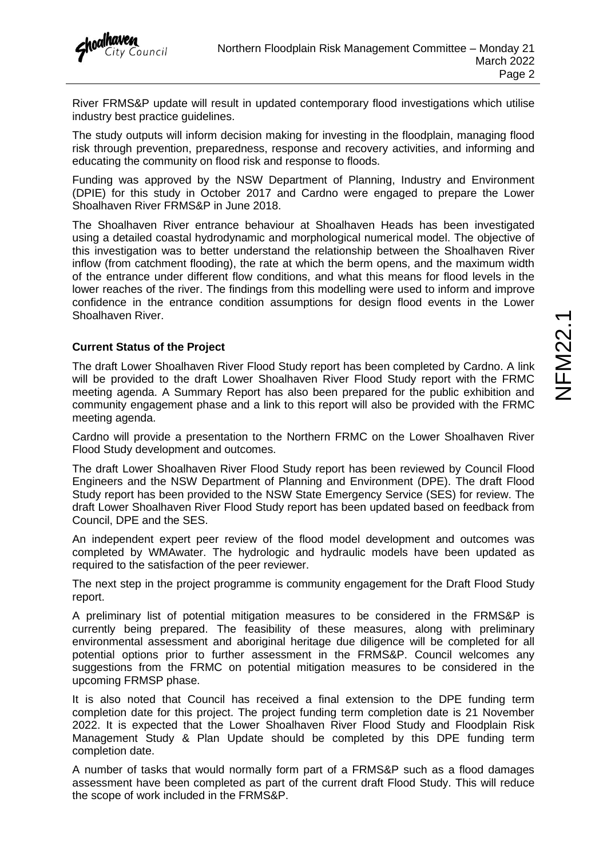

River FRMS&P update will result in updated contemporary flood investigations which utilise industry best practice guidelines.

The study outputs will inform decision making for investing in the floodplain, managing flood risk through prevention, preparedness, response and recovery activities, and informing and educating the community on flood risk and response to floods.

Funding was approved by the NSW Department of Planning, Industry and Environment (DPIE) for this study in October 2017 and Cardno were engaged to prepare the Lower Shoalhaven River FRMS&P in June 2018.

The Shoalhaven River entrance behaviour at Shoalhaven Heads has been investigated using a detailed coastal hydrodynamic and morphological numerical model. The objective of this investigation was to better understand the relationship between the Shoalhaven River inflow (from catchment flooding), the rate at which the berm opens, and the maximum width of the entrance under different flow conditions, and what this means for flood levels in the lower reaches of the river. The findings from this modelling were used to inform and improve confidence in the entrance condition assumptions for design flood events in the Lower Shoalhaven River.

#### **Current Status of the Project**

The draft Lower Shoalhaven River Flood Study report has been completed by Cardno. A link will be provided to the draft Lower Shoalhaven River Flood Study report with the FRMC meeting agenda. A Summary Report has also been prepared for the public exhibition and community engagement phase and a link to this report will also be provided with the FRMC meeting agenda.

Cardno will provide a presentation to the Northern FRMC on the Lower Shoalhaven River Flood Study development and outcomes.

The draft Lower Shoalhaven River Flood Study report has been reviewed by Council Flood Engineers and the NSW Department of Planning and Environment (DPE). The draft Flood Study report has been provided to the NSW State Emergency Service (SES) for review. The draft Lower Shoalhaven River Flood Study report has been updated based on feedback from Council, DPE and the SES.

An independent expert peer review of the flood model development and outcomes was completed by WMAwater. The hydrologic and hydraulic models have been updated as required to the satisfaction of the peer reviewer.

The next step in the project programme is community engagement for the Draft Flood Study report.

A preliminary list of potential mitigation measures to be considered in the FRMS&P is currently being prepared. The feasibility of these measures, along with preliminary environmental assessment and aboriginal heritage due diligence will be completed for all potential options prior to further assessment in the FRMS&P. Council welcomes any suggestions from the FRMC on potential mitigation measures to be considered in the upcoming FRMSP phase.

It is also noted that Council has received a final extension to the DPE funding term completion date for this project. The project funding term completion date is 21 November 2022. It is expected that the Lower Shoalhaven River Flood Study and Floodplain Risk Management Study & Plan Update should be completed by this DPE funding term completion date.

A number of tasks that would normally form part of a FRMS&P such as a flood damages assessment have been completed as part of the current draft Flood Study. This will reduce the scope of work included in the FRMS&P.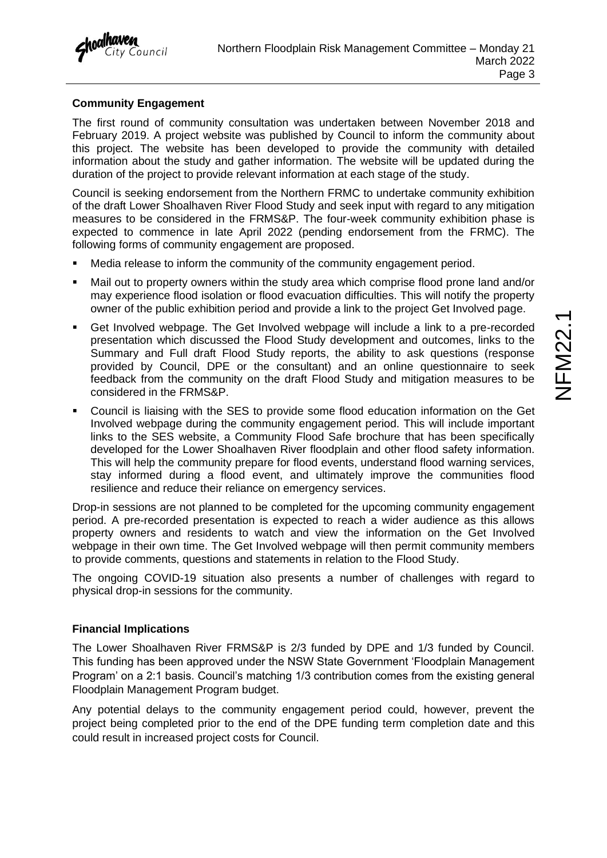#### **Community Engagement**

The first round of community consultation was undertaken between November 2018 and February 2019. A project website was published by Council to inform the community about this project. The website has been developed to provide the community with detailed information about the study and gather information. The website will be updated during the duration of the project to provide relevant information at each stage of the study.

Council is seeking endorsement from the Northern FRMC to undertake community exhibition of the draft Lower Shoalhaven River Flood Study and seek input with regard to any mitigation measures to be considered in the FRMS&P. The four-week community exhibition phase is expected to commence in late April 2022 (pending endorsement from the FRMC). The following forms of community engagement are proposed.

- Media release to inform the community of the community engagement period.
- Mail out to property owners within the study area which comprise flood prone land and/or may experience flood isolation or flood evacuation difficulties. This will notify the property owner of the public exhibition period and provide a link to the project Get Involved page.
- Get Involved webpage. The Get Involved webpage will include a link to a pre-recorded presentation which discussed the Flood Study development and outcomes, links to the Summary and Full draft Flood Study reports, the ability to ask questions (response provided by Council, DPE or the consultant) and an online questionnaire to seek feedback from the community on the draft Flood Study and mitigation measures to be considered in the FRMS&P.
- Council is liaising with the SES to provide some flood education information on the Get Involved webpage during the community engagement period. This will include important links to the SES website, a Community Flood Safe brochure that has been specifically developed for the Lower Shoalhaven River floodplain and other flood safety information. This will help the community prepare for flood events, understand flood warning services, stay informed during a flood event, and ultimately improve the communities flood resilience and reduce their reliance on emergency services.

Drop-in sessions are not planned to be completed for the upcoming community engagement period. A pre-recorded presentation is expected to reach a wider audience as this allows property owners and residents to watch and view the information on the Get Involved webpage in their own time. The Get Involved webpage will then permit community members to provide comments, questions and statements in relation to the Flood Study.

The ongoing COVID-19 situation also presents a number of challenges with regard to physical drop-in sessions for the community.

#### **Financial Implications**

The Lower Shoalhaven River FRMS&P is 2/3 funded by DPE and 1/3 funded by Council. This funding has been approved under the NSW State Government 'Floodplain Management Program' on a 2:1 basis. Council's matching 1/3 contribution comes from the existing general Floodplain Management Program budget.

Any potential delays to the community engagement period could, however, prevent the project being completed prior to the end of the DPE funding term completion date and this could result in increased project costs for Council.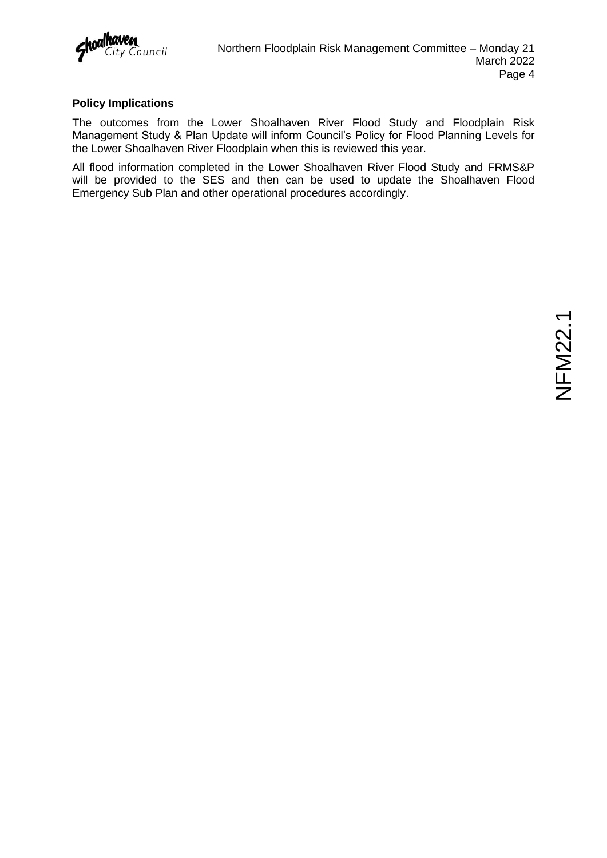#### **Policy Implications**

The outcomes from the Lower Shoalhaven River Flood Study and Floodplain Risk Management Study & Plan Update will inform Council's Policy for Flood Planning Levels for the Lower Shoalhaven River Floodplain when this is reviewed this year.

All flood information completed in the Lower Shoalhaven River Flood Study and FRMS&P will be provided to the SES and then can be used to update the Shoalhaven Flood Emergency Sub Plan and other operational procedures accordingly.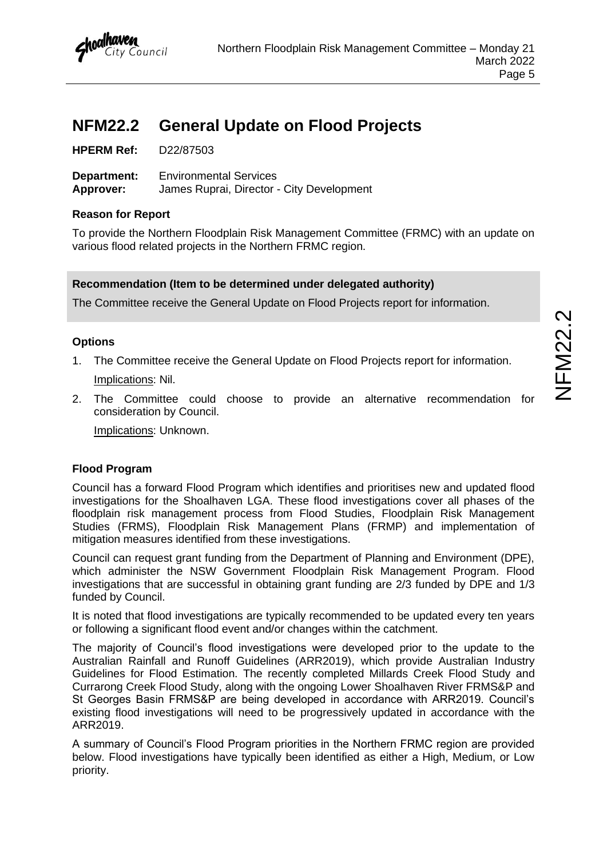## <span id="page-6-0"></span>**NFM22.2 General Update on Flood Projects**

| <b>HPERM Ref:</b> | D22/87503 |
|-------------------|-----------|
|-------------------|-----------|

**Department:** Environmental Services **Approver:** James Ruprai, Director - City Development

#### **Reason for Report**

To provide the Northern Floodplain Risk Management Committee (FRMC) with an update on various flood related projects in the Northern FRMC region.

#### **Recommendation (Item to be determined under delegated authority)**

The Committee receive the General Update on Flood Projects report for information.

#### **Options**

- 1. The Committee receive the General Update on Flood Projects report for information. Implications: Nil.
- 2. The Committee could choose to provide an alternative recommendation for consideration by Council.

Implications: Unknown.

#### **Flood Program**

Council has a forward Flood Program which identifies and prioritises new and updated flood investigations for the Shoalhaven LGA. These flood investigations cover all phases of the floodplain risk management process from Flood Studies, Floodplain Risk Management Studies (FRMS), Floodplain Risk Management Plans (FRMP) and implementation of mitigation measures identified from these investigations.

Council can request grant funding from the Department of Planning and Environment (DPE), which administer the NSW Government Floodplain Risk Management Program. Flood investigations that are successful in obtaining grant funding are 2/3 funded by DPE and 1/3 funded by Council.

It is noted that flood investigations are typically recommended to be updated every ten years or following a significant flood event and/or changes within the catchment.

The majority of Council's flood investigations were developed prior to the update to the Australian Rainfall and Runoff Guidelines (ARR2019), which provide Australian Industry Guidelines for Flood Estimation. The recently completed Millards Creek Flood Study and Currarong Creek Flood Study, along with the ongoing Lower Shoalhaven River FRMS&P and St Georges Basin FRMS&P are being developed in accordance with ARR2019. Council's existing flood investigations will need to be progressively updated in accordance with the ARR2019.

A summary of Council's Flood Program priorities in the Northern FRMC region are provided below. Flood investigations have typically been identified as either a High, Medium, or Low priority.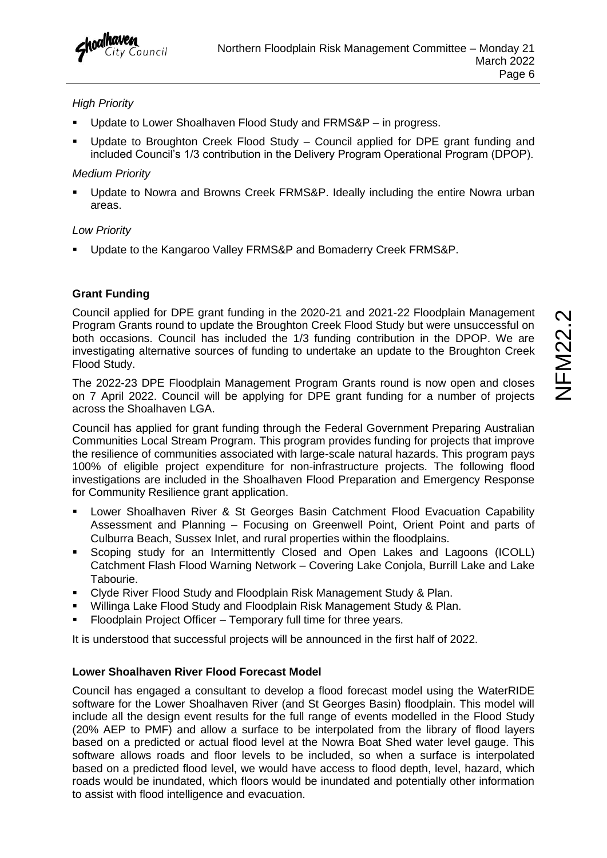#### *High Priority*

- Update to Lower Shoalhaven Flood Study and FRMS&P in progress.
- Update to Broughton Creek Flood Study Council applied for DPE grant funding and included Council's 1/3 contribution in the Delivery Program Operational Program (DPOP).

#### *Medium Priority*

Update to Nowra and Browns Creek FRMS&P. Ideally including the entire Nowra urban areas.

#### *Low Priority*

▪ Update to the Kangaroo Valley FRMS&P and Bomaderry Creek FRMS&P.

#### **Grant Funding**

Council applied for DPE grant funding in the 2020-21 and 2021-22 Floodplain Management Program Grants round to update the Broughton Creek Flood Study but were unsuccessful on both occasions. Council has included the 1/3 funding contribution in the DPOP. We are investigating alternative sources of funding to undertake an update to the Broughton Creek Flood Study.

The 2022-23 DPE Floodplain Management Program Grants round is now open and closes on 7 April 2022. Council will be applying for DPE grant funding for a number of projects across the Shoalhaven LGA.

Council has applied for grant funding through the Federal Government Preparing Australian Communities Local Stream Program. This program provides funding for projects that improve the resilience of communities associated with large-scale natural hazards. This program pays 100% of eligible project expenditure for non-infrastructure projects. The following flood investigations are included in the Shoalhaven Flood Preparation and Emergency Response for Community Resilience grant application.

- Lower Shoalhaven River & St Georges Basin Catchment Flood Evacuation Capability Assessment and Planning – Focusing on Greenwell Point, Orient Point and parts of Culburra Beach, Sussex Inlet, and rural properties within the floodplains.
- Scoping study for an Intermittently Closed and Open Lakes and Lagoons (ICOLL) Catchment Flash Flood Warning Network – Covering Lake Conjola, Burrill Lake and Lake Tabourie.
- Clyde River Flood Study and Floodplain Risk Management Study & Plan.
- Willinga Lake Flood Study and Floodplain Risk Management Study & Plan.
- Floodplain Project Officer Temporary full time for three years.

It is understood that successful projects will be announced in the first half of 2022.

#### **Lower Shoalhaven River Flood Forecast Model**

Council has engaged a consultant to develop a flood forecast model using the WaterRIDE software for the Lower Shoalhaven River (and St Georges Basin) floodplain. This model will include all the design event results for the full range of events modelled in the Flood Study (20% AEP to PMF) and allow a surface to be interpolated from the library of flood layers based on a predicted or actual flood level at the Nowra Boat Shed water level gauge. This software allows roads and floor levels to be included, so when a surface is interpolated based on a predicted flood level, we would have access to flood depth, level, hazard, which roads would be inundated, which floors would be inundated and potentially other information to assist with flood intelligence and evacuation.